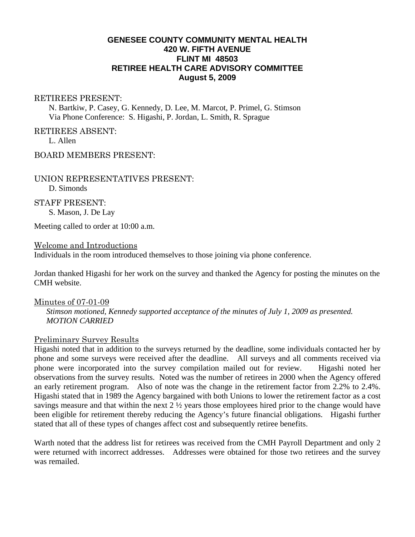## **GENESEE COUNTY COMMUNITY MENTAL HEALTH 420 W. FIFTH AVENUE FLINT MI 48503 RETIREE HEALTH CARE ADVISORY COMMITTEE August 5, 2009**

#### RETIREES PRESENT:

N. Bartkiw, P. Casey, G. Kennedy, D. Lee, M. Marcot, P. Primel, G. Stimson Via Phone Conference: S. Higashi, P. Jordan, L. Smith, R. Sprague

RETIREES ABSENT:

L. Allen

BOARD MEMBERS PRESENT:

UNION REPRESENTATIVES PRESENT: D. Simonds

STAFF PRESENT: S. Mason, J. De Lay

Meeting called to order at 10:00 a.m.

#### Welcome and Introductions

Individuals in the room introduced themselves to those joining via phone conference.

Jordan thanked Higashi for her work on the survey and thanked the Agency for posting the minutes on the CMH website.

#### Minutes of 07-01-09

*Stimson motioned, Kennedy supported acceptance of the minutes of July 1, 2009 as presented. MOTION CARRIED* 

# Preliminary Survey Results

Higashi noted that in addition to the surveys returned by the deadline, some individuals contacted her by phone and some surveys were received after the deadline. All surveys and all comments received via phone were incorporated into the survey compilation mailed out for review. Higashi noted her observations from the survey results. Noted was the number of retirees in 2000 when the Agency offered an early retirement program. Also of note was the change in the retirement factor from 2.2% to 2.4%. Higashi stated that in 1989 the Agency bargained with both Unions to lower the retirement factor as a cost savings measure and that within the next 2 ½ years those employees hired prior to the change would have been eligible for retirement thereby reducing the Agency's future financial obligations. Higashi further stated that all of these types of changes affect cost and subsequently retiree benefits.

Warth noted that the address list for retirees was received from the CMH Payroll Department and only 2 were returned with incorrect addresses. Addresses were obtained for those two retirees and the survey was remailed.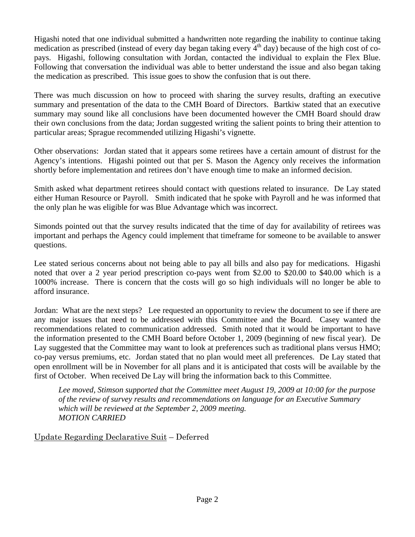Higashi noted that one individual submitted a handwritten note regarding the inability to continue taking medication as prescribed (instead of every day began taking every  $4<sup>th</sup>$  day) because of the high cost of copays. Higashi, following consultation with Jordan, contacted the individual to explain the Flex Blue. Following that conversation the individual was able to better understand the issue and also began taking the medication as prescribed. This issue goes to show the confusion that is out there.

There was much discussion on how to proceed with sharing the survey results, drafting an executive summary and presentation of the data to the CMH Board of Directors. Bartkiw stated that an executive summary may sound like all conclusions have been documented however the CMH Board should draw their own conclusions from the data; Jordan suggested writing the salient points to bring their attention to particular areas; Sprague recommended utilizing Higashi's vignette.

Other observations: Jordan stated that it appears some retirees have a certain amount of distrust for the Agency's intentions. Higashi pointed out that per S. Mason the Agency only receives the information shortly before implementation and retirees don't have enough time to make an informed decision.

Smith asked what department retirees should contact with questions related to insurance. De Lay stated either Human Resource or Payroll. Smith indicated that he spoke with Payroll and he was informed that the only plan he was eligible for was Blue Advantage which was incorrect.

Simonds pointed out that the survey results indicated that the time of day for availability of retirees was important and perhaps the Agency could implement that timeframe for someone to be available to answer questions.

Lee stated serious concerns about not being able to pay all bills and also pay for medications. Higashi noted that over a 2 year period prescription co-pays went from \$2.00 to \$20.00 to \$40.00 which is a 1000% increase. There is concern that the costs will go so high individuals will no longer be able to afford insurance.

Jordan: What are the next steps? Lee requested an opportunity to review the document to see if there are any major issues that need to be addressed with this Committee and the Board. Casey wanted the recommendations related to communication addressed. Smith noted that it would be important to have the information presented to the CMH Board before October 1, 2009 (beginning of new fiscal year). De Lay suggested that the Committee may want to look at preferences such as traditional plans versus HMO; co-pay versus premiums, etc. Jordan stated that no plan would meet all preferences. De Lay stated that open enrollment will be in November for all plans and it is anticipated that costs will be available by the first of October. When received De Lay will bring the information back to this Committee.

*Lee moved, Stimson supported that the Committee meet August 19, 2009 at 10:00 for the purpose of the review of survey results and recommendations on language for an Executive Summary which will be reviewed at the September 2, 2009 meeting. MOTION CARRIED* 

Update Regarding Declarative Suit – Deferred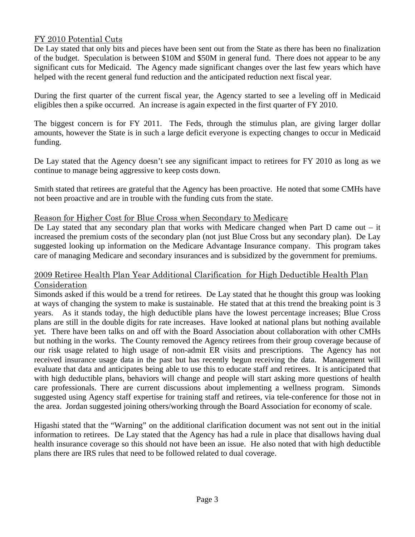# FY 2010 Potential Cuts

De Lay stated that only bits and pieces have been sent out from the State as there has been no finalization of the budget. Speculation is between \$10M and \$50M in general fund. There does not appear to be any significant cuts for Medicaid. The Agency made significant changes over the last few years which have helped with the recent general fund reduction and the anticipated reduction next fiscal year.

During the first quarter of the current fiscal year, the Agency started to see a leveling off in Medicaid eligibles then a spike occurred. An increase is again expected in the first quarter of FY 2010.

The biggest concern is for FY 2011. The Feds, through the stimulus plan, are giving larger dollar amounts, however the State is in such a large deficit everyone is expecting changes to occur in Medicaid funding.

De Lay stated that the Agency doesn't see any significant impact to retirees for FY 2010 as long as we continue to manage being aggressive to keep costs down.

Smith stated that retirees are grateful that the Agency has been proactive. He noted that some CMHs have not been proactive and are in trouble with the funding cuts from the state.

## Reason for Higher Cost for Blue Cross when Secondary to Medicare

De Lay stated that any secondary plan that works with Medicare changed when Part D came out – it increased the premium costs of the secondary plan (not just Blue Cross but any secondary plan). De Lay suggested looking up information on the Medicare Advantage Insurance company. This program takes care of managing Medicare and secondary insurances and is subsidized by the government for premiums.

## 2009 Retiree Health Plan Year Additional Clarification for High Deductible Health Plan Consideration

Simonds asked if this would be a trend for retirees. De Lay stated that he thought this group was looking at ways of changing the system to make is sustainable. He stated that at this trend the breaking point is 3 years. As it stands today, the high deductible plans have the lowest percentage increases; Blue Cross plans are still in the double digits for rate increases. Have looked at national plans but nothing available yet. There have been talks on and off with the Board Association about collaboration with other CMHs but nothing in the works. The County removed the Agency retirees from their group coverage because of our risk usage related to high usage of non-admit ER visits and prescriptions. The Agency has not received insurance usage data in the past but has recently begun receiving the data. Management will evaluate that data and anticipates being able to use this to educate staff and retirees. It is anticipated that with high deductible plans, behaviors will change and people will start asking more questions of health care professionals. There are current discussions about implementing a wellness program. Simonds suggested using Agency staff expertise for training staff and retirees, via tele-conference for those not in the area. Jordan suggested joining others/working through the Board Association for economy of scale.

Higashi stated that the "Warning" on the additional clarification document was not sent out in the initial information to retirees. De Lay stated that the Agency has had a rule in place that disallows having dual health insurance coverage so this should not have been an issue. He also noted that with high deductible plans there are IRS rules that need to be followed related to dual coverage.